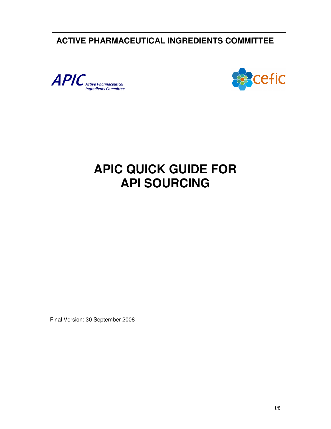**ACTIVE PHARMACEUTICAL INGREDIENTS COMMITTEE** 





# **APIC QUICK GUIDE FOR API SOURCING**

Final Version: 30 September 2008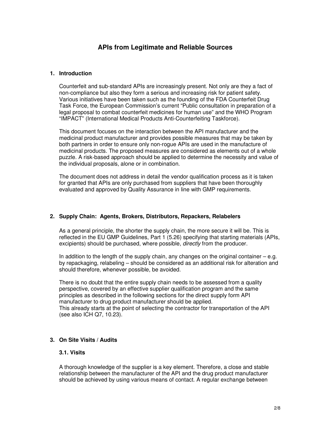# **APIs from Legitimate and Reliable Sources**

#### **1. Introduction**

Counterfeit and sub-standard APIs are increasingly present. Not only are they a fact of non-compliance but also they form a serious and increasing risk for patient safety. Various initiatives have been taken such as the founding of the FDA Counterfeit Drug Task Force, the European Commission's current "Public consultation in preparation of a legal proposal to combat counterfeit medicines for human use" and the WHO Program "IMPACT" (International Medical Products Anti-Counterfeiting Taskforce).

This document focuses on the interaction between the API manufacturer and the medicinal product manufacturer and provides possible measures that may be taken by both partners in order to ensure only non-rogue APIs are used in the manufacture of medicinal products. The proposed measures are considered as elements out of a whole puzzle. A risk-based approach should be applied to determine the necessity and value of the individual proposals, alone or in combination.

The document does not address in detail the vendor qualification process as it is taken for granted that APIs are only purchased from suppliers that have been thoroughly evaluated and approved by Quality Assurance in line with GMP requirements.

#### **2. Supply Chain: Agents, Brokers, Distributors, Repackers, Relabelers**

As a general principle, the shorter the supply chain, the more secure it will be. This is reflected in the EU GMP Guidelines, Part 1 (5.26) specifying that starting materials (APIs, excipients) should be purchased, where possible, *directly* from the producer.

In addition to the length of the supply chain, any changes on the original container  $-e.g.$ by repackaging, relabeling – should be considered as an additional risk for alteration and should therefore, whenever possible, be avoided.

There is no doubt that the entire supply chain needs to be assessed from a quality perspective, covered by an effective supplier qualification program and the same principles as described in the following sections for the direct supply form API manufacturer to drug product manufacturer should be applied. This already starts at the point of selecting the contractor for transportation of the API (see also ICH Q7, 10.23).

#### **3. On Site Visits / Audits**

# **3.1. Visits**

A thorough knowledge of the supplier is a key element. Therefore, a close and stable relationship between the manufacturer of the API and the drug product manufacturer should be achieved by using various means of contact. A regular exchange between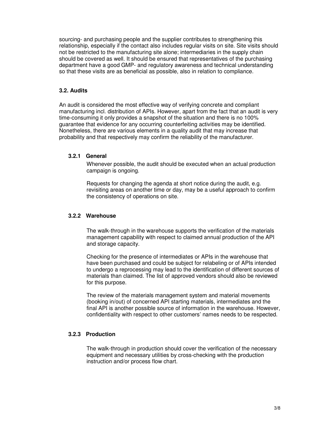sourcing- and purchasing people and the supplier contributes to strengthening this relationship, especially if the contact also includes regular visits on site. Site visits should not be restricted to the manufacturing site alone; intermediaries in the supply chain should be covered as well. It should be ensured that representatives of the purchasing department have a good GMP- and regulatory awareness and technical understanding so that these visits are as beneficial as possible, also in relation to compliance.

# **3.2. Audits**

An audit is considered the most effective way of verifying concrete and compliant manufacturing incl. distribution of APIs. However, apart from the fact that an audit is very time-consuming it only provides a snapshot of the situation and there is no 100% guarantee that evidence for any occurring counterfeiting activities may be identified. Nonetheless, there are various elements in a quality audit that may increase that probability and that respectively may confirm the reliability of the manufacturer.

#### **3.2.1 General**

Whenever possible, the audit should be executed when an actual production campaign is ongoing.

Requests for changing the agenda at short notice during the audit, e.g. revisiting areas on another time or day, may be a useful approach to confirm the consistency of operations on site.

#### **3.2.2 Warehouse**

The walk-through in the warehouse supports the verification of the materials management capability with respect to claimed annual production of the API and storage capacity.

Checking for the presence of intermediates or APIs in the warehouse that have been purchased and could be subject for relabeling or of APIs intended to undergo a reprocessing may lead to the identification of different sources of materials than claimed. The list of approved vendors should also be reviewed for this purpose.

The review of the materials management system and material movements (booking in/out) of concerned API starting materials, intermediates and the final API is another possible source of information in the warehouse. However, confidentiality with respect to other customers' names needs to be respected.

#### **3.2.3 Production**

The walk-through in production should cover the verification of the necessary equipment and necessary utilities by cross-checking with the production instruction and/or process flow chart.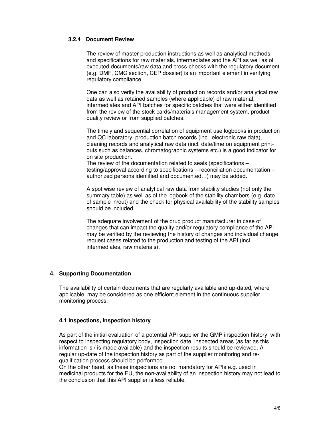#### **3.2.4 Document Review**

The review of master production instructions as well as analytical methods and specifications for raw materials, intermediates and the API as well as of executed documents/raw data and cross-checks with the regulatory document (e.g. DMF, CMC section, CEP dossier) is an important element in verifying regulatory compliance.

One can also verify the availability of production records and/or analytical raw data as well as retained samples (where applicable) of raw material, intermediates and API batches for specific batches that were either identified from the review of the stock cards/materials management system, product quality review or from supplied batches.

The timely and sequential correlation of equipment use logbooks in production and QC laboratory, production batch records (incl. electronic raw data), cleaning records and analytical raw data (incl. date/time on equipment printouts such as balances, chromatographic systems etc.) is a good indicator for on site production.

The review of the documentation related to seals (specifications – testing/approval according to specifications – reconciliation documentation – authorized persons identified and documented…) may be added.

A spot wise review of analytical raw data from stability studies (not only the summary table) as well as of the logbook of the stability chambers (e.g. date of sample in/out) and the check for physical availability of the stability samples should be included.

The adequate involvement of the drug product manufacturer in case of changes that can impact the quality and/or regulatory compliance of the API may be verified by the reviewing the history of changes and individual change request cases related to the production and testing of the API (incl. intermediates, raw materials),

#### **4. Supporting Documentation**

The availability of certain documents that are regularly available and up-dated, where applicable, may be considered as one efficient element in the continuous supplier monitoring process.

#### **4.1 Inspections, Inspection history**

As part of the initial evaluation of a potential API supplier the GMP inspection history, with respect to inspecting regulatory body, inspection date, inspected areas (as far as this information is / is made available) and the inspection results should be reviewed. A regular up-date of the inspection history as part of the supplier monitoring and requalification process should be performed.

On the other hand, as these inspections are not mandatory for APIs e.g. used in medicinal products for the EU, the non-availability of an inspection history may not lead to the conclusion that this API supplier is less reliable.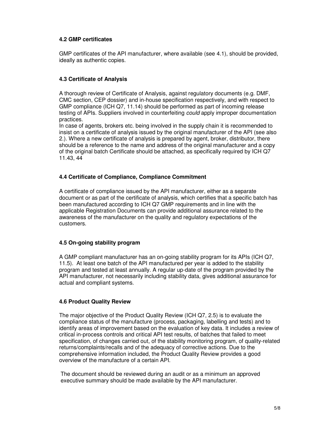# **4.2 GMP certificates**

GMP certificates of the API manufacturer, where available (see 4.1), should be provided, ideally as authentic copies.

# **4.3 Certificate of Analysis**

A thorough review of Certificate of Analysis, against regulatory documents (e.g. DMF, CMC section, CEP dossier) and in-house specification respectively, and with respect to GMP compliance (ICH Q7, 11.14) should be performed as part of incoming release testing of APIs. Suppliers involved in counterfeiting *could* apply improper documentation practices.

In case of agents, brokers etc. being involved in the supply chain it is recommended to insist on a certificate of analysis issued by the original manufacturer of the API (see also 2.). Where a new certificate of analysis is prepared by agent, broker, distributor, there should be a reference to the name and address of the original manufacturer and a copy of the original batch Certificate should be attached, as specifically required by ICH Q7 11.43, 44

#### **4.4 Certificate of Compliance, Compliance Commitment**

A certificate of compliance issued by the API manufacturer, either as a separate document or as part of the certificate of analysis, which certifies that a specific batch has been manufactured according to ICH Q7 GMP requirements and in line with the applicable Registration Documents can provide additional assurance related to the awareness of the manufacturer on the quality and regulatory expectations of the customers.

#### **4.5 On-going stability program**

A GMP compliant manufacturer has an on-going stability program for its APIs (ICH Q7, 11.5). At least one batch of the API manufactured per year is added to the stability program and tested at least annually. A regular up-date of the program provided by the API manufacturer, not necessarily including stability data, gives additional assurance for actual and compliant systems.

#### **4.6 Product Quality Review**

The major objective of the Product Quality Review (ICH Q7, 2.5) is to evaluate the compliance status of the manufacture (process, packaging, labelling and tests) and to identify areas of improvement based on the evaluation of key data. It includes a review of critical in-process controls and critical API test results, of batches that failed to meet specification, of changes carried out, of the stability monitoring program, of quality-related returns/complaints/recalls and of the adequacy of corrective actions. Due to the comprehensive information included, the Product Quality Review provides a good overview of the manufacture of a certain API.

The document should be reviewed during an audit or as a minimum an approved executive summary should be made available by the API manufacturer.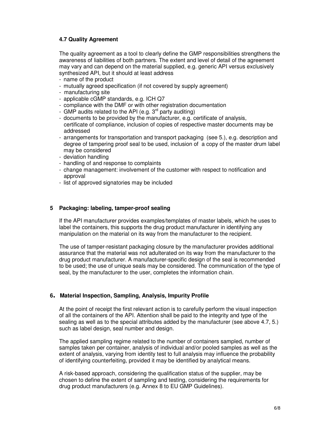### **4.7 Quality Agreement**

The quality agreement as a tool to clearly define the GMP responsibilities strengthens the awareness of liabilities of both partners. The extent and level of detail of the agreement may vary and can depend on the material supplied, e.g. generic API versus exclusively synthesized API, but it should at least address

- name of the product
- mutually agreed specification (if not covered by supply agreement)
- manufacturing site
- applicable cGMP standards, e.g. ICH Q7
- compliance with the DMF or with other registration documentation
- GMP audits related to the API (e.g.  $3^{rd}$  party auditing)
- documents to be provided by the manufacturer, e.g. certificate of analysis, certificate of compliance, inclusion of copies of respective master documents may be addressed
- arrangements for transportation and transport packaging (see 5.), e.g. description and degree of tampering proof seal to be used, inclusion of a copy of the master drum label may be considered
- deviation handling
- handling of and response to complaints
- change management: involvement of the customer with respect to notification and approval
- list of approved signatories may be included

#### **5 Packaging: labeling, tamper-proof sealing**

If the API manufacturer provides examples/templates of master labels, which he uses to label the containers, this supports the drug product manufacturer in identifying any manipulation on the material on its way from the manufacturer to the recipient.

The use of tamper-resistant packaging closure by the manufacturer provides additional assurance that the material was not adulterated on its way from the manufacturer to the drug product manufacturer. A manufacturer-specific design of the seal is recommended to be used; the use of unique seals may be considered. The communication of the type of seal, by the manufacturer to the user, completes the information chain.

#### **<sup>6</sup>. Material Inspection, Sampling, Analysis, Impurity Profile**

At the point of receipt the first relevant action is to carefully perform the visual inspection of all the containers of the API. Attention shall be paid to the integrity and type of the sealing as well as to the special attributes added by the manufacturer (see above 4.7, 5.) such as label design, seal number and design.

The applied sampling regime related to the number of containers sampled, number of samples taken per container, analysis of individual and/or pooled samples as well as the extent of analysis, varying from identity test to full analysis may influence the probability of identifying counterfeiting, provided it may be identified by analytical means.

A risk-based approach, considering the qualification status of the supplier, may be chosen to define the extent of sampling and testing, considering the requirements for drug product manufacturers (e.g. Annex 8 to EU GMP Guidelines).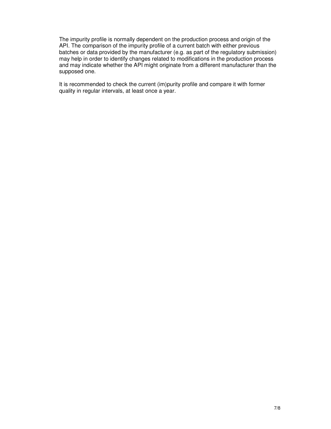The impurity profile is normally dependent on the production process and origin of the API. The comparison of the impurity profile of a current batch with either previous batches or data provided by the manufacturer (e.g. as part of the regulatory submission) may help in order to identify changes related to modifications in the production process and may indicate whether the API might originate from a different manufacturer than the supposed one.

It is recommended to check the current (im)purity profile and compare it with former quality in regular intervals, at least once a year.